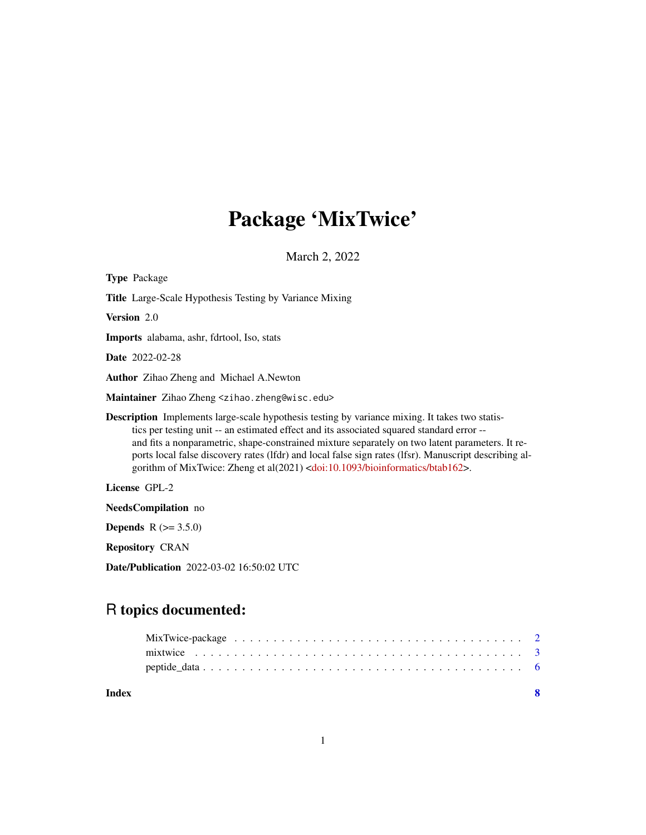# Package 'MixTwice'

March 2, 2022

Type Package Title Large-Scale Hypothesis Testing by Variance Mixing Version 2.0 Imports alabama, ashr, fdrtool, Iso, stats Date 2022-02-28 Author Zihao Zheng and Michael A.Newton Maintainer Zihao Zheng <zihao.zheng@wisc.edu> Description Implements large-scale hypothesis testing by variance mixing. It takes two statistics per testing unit -- an estimated effect and its associated squared standard error - and fits a nonparametric, shape-constrained mixture separately on two latent parameters. It reports local false discovery rates (lfdr) and local false sign rates (lfsr). Manuscript describing algorithm of MixTwice: Zheng et al(2021) [<doi:10.1093/bioinformatics/btab162>](https://doi.org/10.1093/bioinformatics/btab162). License GPL-2

NeedsCompilation no

**Depends** R  $(>= 3.5.0)$ 

Repository CRAN

Date/Publication 2022-03-02 16:50:02 UTC

# R topics documented:

| Index |  |
|-------|--|
|       |  |
|       |  |
|       |  |

1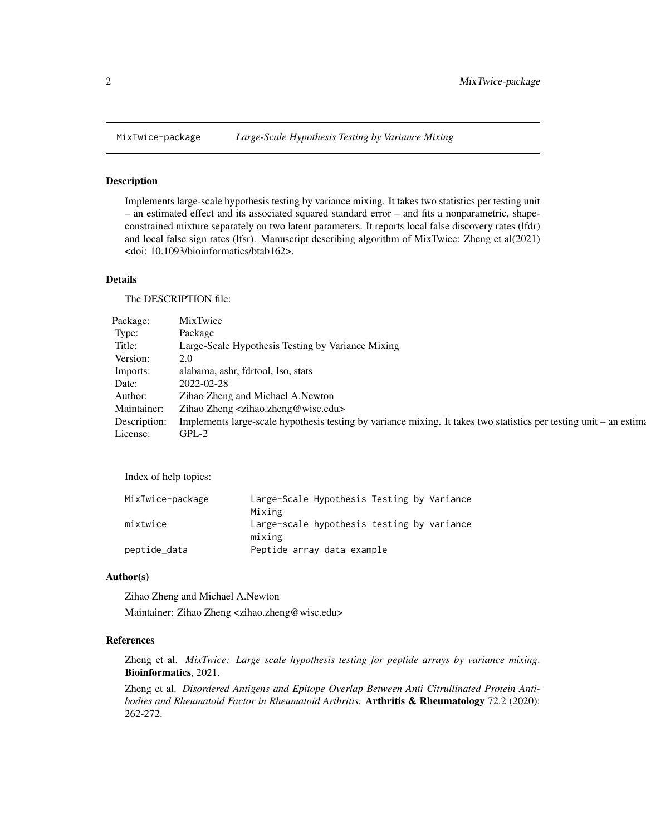<span id="page-1-0"></span>

# Description

Implements large-scale hypothesis testing by variance mixing. It takes two statistics per testing unit – an estimated effect and its associated squared standard error – and fits a nonparametric, shapeconstrained mixture separately on two latent parameters. It reports local false discovery rates (lfdr) and local false sign rates (lfsr). Manuscript describing algorithm of MixTwice: Zheng et al(2021) <doi: 10.1093/bioinformatics/btab162>.

# Details

The DESCRIPTION file:

| Package:       | MixTwice                                                                                                                          |
|----------------|-----------------------------------------------------------------------------------------------------------------------------------|
| Type:          | Package                                                                                                                           |
| Title:         | Large-Scale Hypothesis Testing by Variance Mixing                                                                                 |
| Version:       | 2.0                                                                                                                               |
| Imports:       | alabama, ashr, fdrtool, Iso, stats                                                                                                |
| Date:          | 2022-02-28                                                                                                                        |
| Author:        | Zihao Zheng and Michael A.Newton                                                                                                  |
|                | Maintainer: Zihao Zheng <zihao.zheng@wisc.edu></zihao.zheng@wisc.edu>                                                             |
|                | Description: Implements large-scale hypothesis testing by variance mixing. It takes two statistics per testing unit - an estimate |
| License: GPL-2 |                                                                                                                                   |

Index of help topics:

| MixTwice-package | Large-Scale Hypothesis Testing by Variance           |  |  |  |
|------------------|------------------------------------------------------|--|--|--|
|                  | Mixing                                               |  |  |  |
| mixtwice         | Large-scale hypothesis testing by variance<br>mixing |  |  |  |
| peptide_data     | Peptide array data example                           |  |  |  |

# Author(s)

Zihao Zheng and Michael A.Newton Maintainer: Zihao Zheng <zihao.zheng@wisc.edu>

### References

Zheng et al. *MixTwice: Large scale hypothesis testing for peptide arrays by variance mixing*. Bioinformatics, 2021.

Zheng et al. *Disordered Antigens and Epitope Overlap Between Anti Citrullinated Protein Antibodies and Rheumatoid Factor in Rheumatoid Arthritis.* Arthritis & Rheumatology 72.2 (2020): 262-272.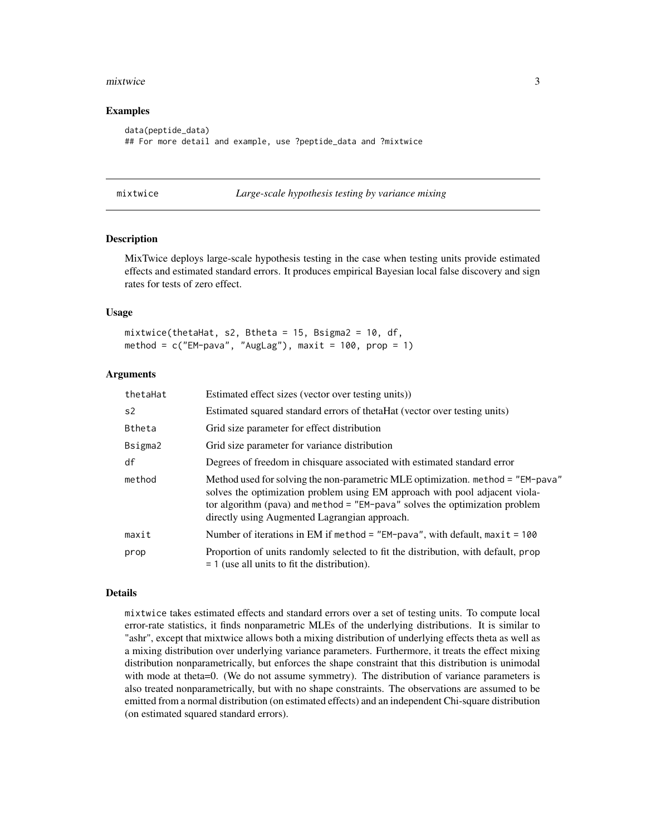### <span id="page-2-0"></span>mixtwice 3

# Examples

```
data(peptide_data)
## For more detail and example, use ?peptide_data and ?mixtwice
```
mixtwice *Large-scale hypothesis testing by variance mixing*

# Description

MixTwice deploys large-scale hypothesis testing in the case when testing units provide estimated effects and estimated standard errors. It produces empirical Bayesian local false discovery and sign rates for tests of zero effect.

# Usage

mixtwice(thetaHat, s2, Btheta = 15, Bsigma2 = 10, df, method =  $c("EM-pava", "AugLag")$ , maxit = 100, prop = 1)

# Arguments

| thetaHat       | Estimated effect sizes (vector over testing units))                                                                                                                                                                                                                                                            |
|----------------|----------------------------------------------------------------------------------------------------------------------------------------------------------------------------------------------------------------------------------------------------------------------------------------------------------------|
| s <sub>2</sub> | Estimated squared standard errors of thetaHat (vector over testing units)                                                                                                                                                                                                                                      |
| <b>Btheta</b>  | Grid size parameter for effect distribution                                                                                                                                                                                                                                                                    |
| Bsigma2        | Grid size parameter for variance distribution                                                                                                                                                                                                                                                                  |
| df             | Degrees of freedom in chisquare associated with estimated standard error                                                                                                                                                                                                                                       |
| method         | Method used for solving the non-parametric MLE optimization. method = "EM-pava"<br>solves the optimization problem using EM approach with pool adjacent viola-<br>tor algorithm (pava) and $\text{method} = \text{"EM-pava"}$ solves the optimization problem<br>directly using Augmented Lagrangian approach. |
| maxit          | Number of iterations in EM if method = "EM-paya", with default, maxit = $100$                                                                                                                                                                                                                                  |
| prop           | Proportion of units randomly selected to fit the distribution, with default, prop<br>$= 1$ (use all units to fit the distribution).                                                                                                                                                                            |

## Details

mixtwice takes estimated effects and standard errors over a set of testing units. To compute local error-rate statistics, it finds nonparametric MLEs of the underlying distributions. It is similar to "ashr", except that mixtwice allows both a mixing distribution of underlying effects theta as well as a mixing distribution over underlying variance parameters. Furthermore, it treats the effect mixing distribution nonparametrically, but enforces the shape constraint that this distribution is unimodal with mode at theta=0. (We do not assume symmetry). The distribution of variance parameters is also treated nonparametrically, but with no shape constraints. The observations are assumed to be emitted from a normal distribution (on estimated effects) and an independent Chi-square distribution (on estimated squared standard errors).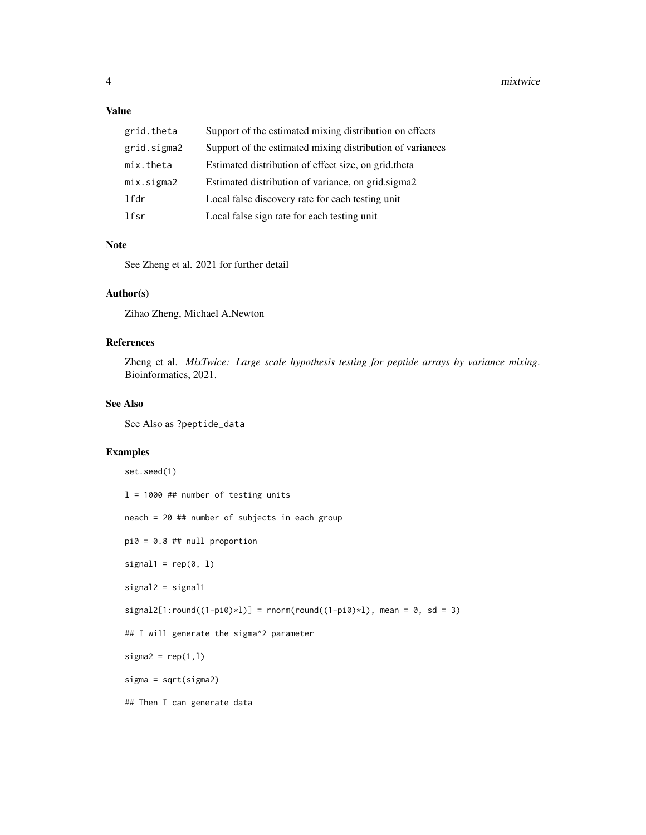# Value

| grid.theta          | Support of the estimated mixing distribution on effects   |
|---------------------|-----------------------------------------------------------|
| grid.sigma2         | Support of the estimated mixing distribution of variances |
| mix.theta           | Estimated distribution of effect size, on grid.theta      |
| $mix.\text{sigma2}$ | Estimated distribution of variance, on grid.sigma2        |
| lfdr                | Local false discovery rate for each testing unit          |
| lfsr                | Local false sign rate for each testing unit               |

# Note

See Zheng et al. 2021 for further detail

# Author(s)

Zihao Zheng, Michael A.Newton

# References

Zheng et al. *MixTwice: Large scale hypothesis testing for peptide arrays by variance mixing*. Bioinformatics, 2021.

# See Also

See Also as ?peptide\_data

# Examples

```
set.seed(1)
l = 1000 ## number of testing units
neach = 20 ## number of subjects in each group
pi0 = 0.8 ## null proportion
signal1 = rep(0, 1)signal2 = signal1
signal2[1:round((1-pi0)*1)] = rnorm(round((1-pi0)*1), mean = 0, sd = 3)## I will generate the sigma^2 parameter
sigma2 = rep(1,1)sigma = sqrt(sigma2)
## Then I can generate data
```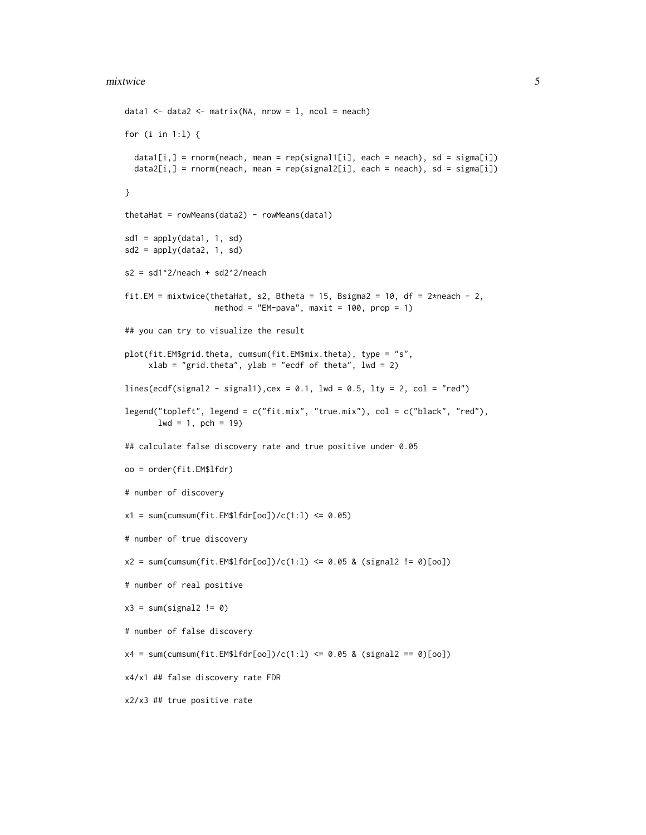### mixtwice 5

```
data1 <- data2 <- matrix(NA, nrow = 1, ncol = neach)
for (i in 1:l) {
  data[i,] = rnorm(neach, mean = rep(signal1[i], each = reach), sd = sigma[i])data2[i,] = rnorm(neach, mean = rep(signal2[i], each = neach), sd = sigma[i])
}
thetaHat = rowMeans(data2) - rowMeans(data1)sd1 = apply(data1, 1, sd)sd2 = apply(data2, 1, sd)s2 = sd1^2/neach + sd2^2/neachfit.EM = mixtwice(thetaHat, s2, Btheta = 15, Bsigma2 = 10, df = 2*neach - 2,
                   method = "EM-pava", maxit = 100, prop = 1)
## you can try to visualize the result
plot(fit.EM$grid.theta, cumsum(fit.EM$mix.theta), type = "s",
     xlab = "grid.theta", ylab = "ecdf of theta", lwd = 2)
lines(ecdf(signal2 - signal1), cex = 0.1, lwd = 0.5, lty = 2, col = "red")
legend("topleft", legend = c("fit.mix", "true.mix"), col = c("black", "red"),
       1wd = 1, pch = 19)
## calculate false discovery rate and true positive under 0.05
oo = order(fit.EM$lfdr)
# number of discovery
x1 = sum(cumsum(fit.EM$1fdr[oo])/c(1:1) < = 0.05)# number of true discovery
x2 = sum(cumsum(fit.EM$1fdr[oo])/c(1:1) \le 0.05 \& (signal2 != 0)[oo])# number of real positive
x3 = sum(signal2 != 0)# number of false discovery
x4 = sum(cumsum(fit.EM$1fdr[oo])/c(1:1) \le 0.05 \& (signal2 == 0)[oo])x4/x1 ## false discovery rate FDR
x2/x3 ## true positive rate
```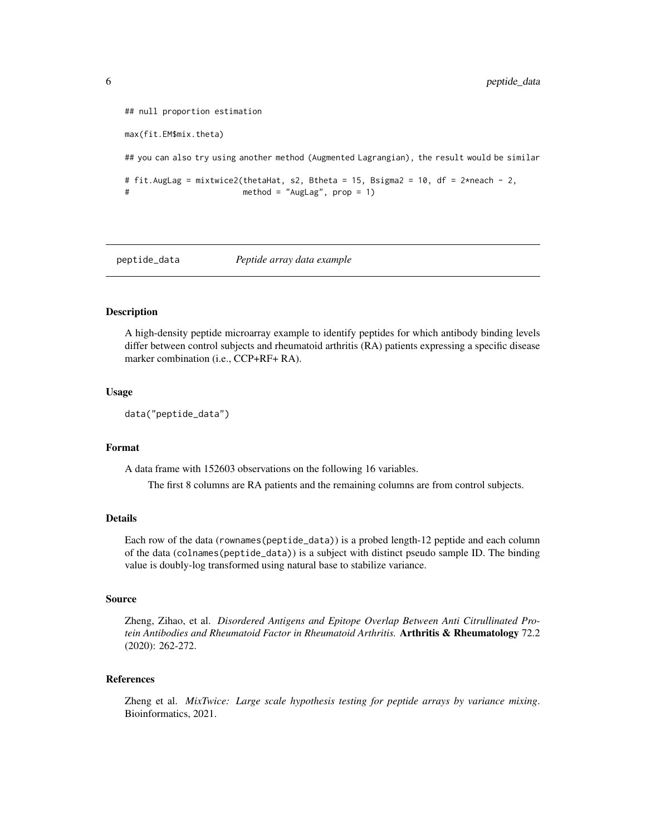```
## null proportion estimation
max(fit.EM$mix.theta)
## you can also try using another method (Augmented Lagrangian), the result would be similar
# fit.AugLag = mixtwice2(thetaHat, s2, Btheta = 15, Bsigma2 = 10, df = 2*neach - 2,
# method = "AugLag", prop = 1)
```

```
peptide_data Peptide array data example
```
# Description

A high-density peptide microarray example to identify peptides for which antibody binding levels differ between control subjects and rheumatoid arthritis (RA) patients expressing a specific disease marker combination (i.e., CCP+RF+ RA).

#### Usage

```
data("peptide_data")
```
## Format

A data frame with 152603 observations on the following 16 variables.

The first 8 columns are RA patients and the remaining columns are from control subjects.

# Details

Each row of the data (rownames(peptide\_data)) is a probed length-12 peptide and each column of the data (colnames(peptide\_data)) is a subject with distinct pseudo sample ID. The binding value is doubly-log transformed using natural base to stabilize variance.

# Source

Zheng, Zihao, et al. *Disordered Antigens and Epitope Overlap Between Anti Citrullinated Protein Antibodies and Rheumatoid Factor in Rheumatoid Arthritis.* Arthritis & Rheumatology 72.2 (2020): 262-272.

# References

Zheng et al. *MixTwice: Large scale hypothesis testing for peptide arrays by variance mixing*. Bioinformatics, 2021.

<span id="page-5-0"></span>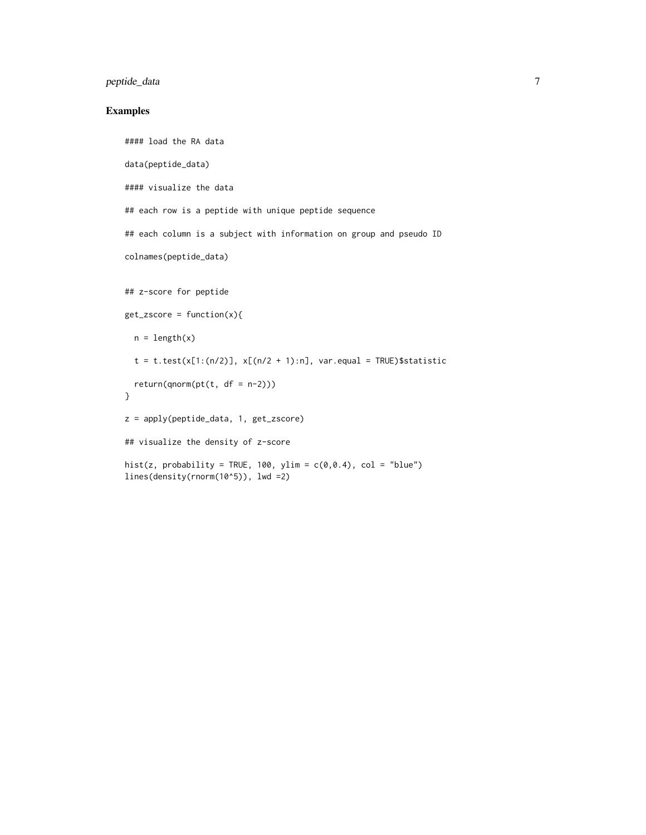# peptide\_data 7

# Examples

```
#### load the RA data
data(peptide_data)
#### visualize the data
## each row is a peptide with unique peptide sequence
## each column is a subject with information on group and pseudo ID
colnames(peptide_data)
## z-score for peptide
get_zscore = function(x){
 n = length(x)t = t.test(x[1:(n/2)], x[(n/2 + 1):n], var.equals = TRUE)$statistic
 return(qnorm(pt(t, df = n-2)))}
z = apply(peptide_data, 1, get_zscore)
## visualize the density of z-score
hist(z, probability = TRUE, 100, ylim = c(0, 0.4), col = "blue")
lines(density(rnorm(10^5)), lwd =2)
```